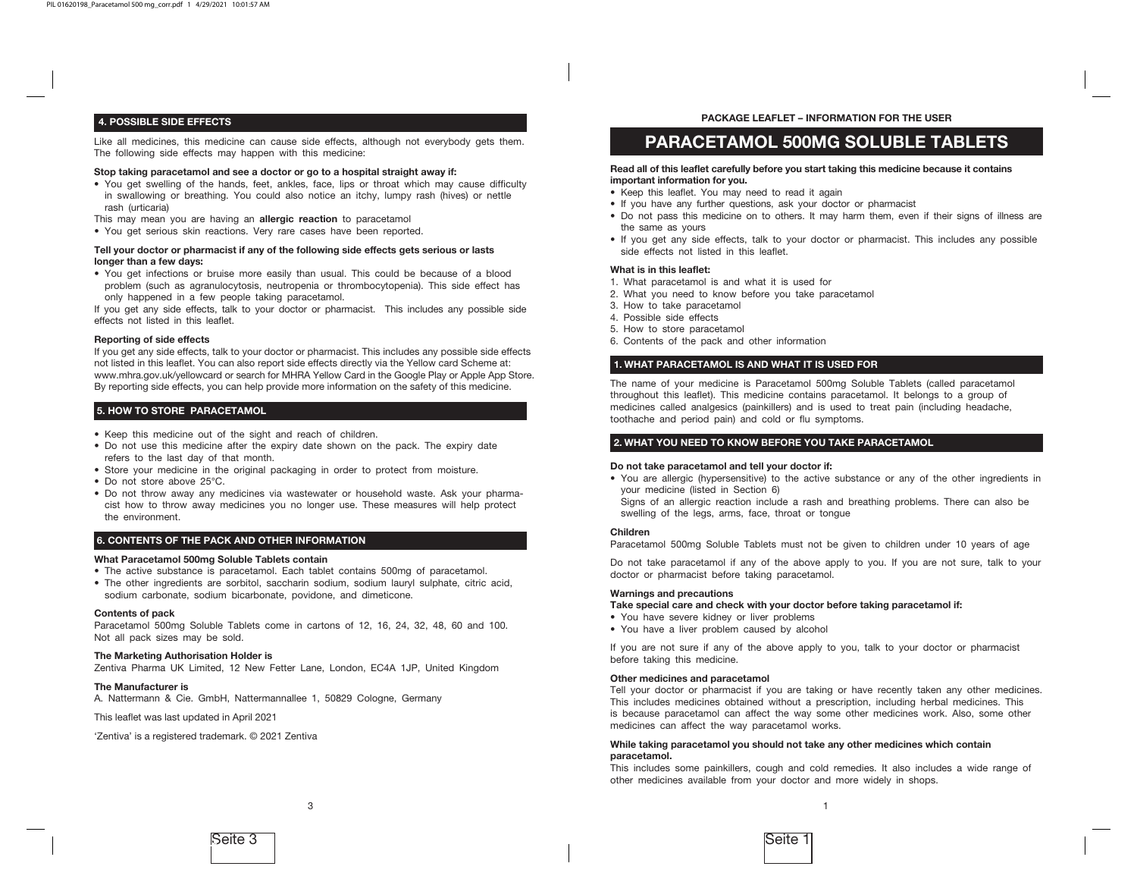# 4. POSSIBLE SIDE EFFECTS

Like all medicines, this medicine can cause side effects, although not everybody gets them. The following side effects may happen with this medicine:

#### Stop taking paracetamol and see a doctor or go to a hospital straight away if:

- You get swelling of the hands, feet, ankles, face, lips or throat which may cause difficulty in swallowing or breathing. You could also notice an itchy, lumpy rash (hives) or nettle rash (urticaria)
- This may mean you are having an allergic reaction to paracetamol
- You get serious skin reactions. Very rare cases have been reported.

# Tell your doctor or pharmacist if any of the following side effects gets serious or lasts longer than a few days:

• You get infections or bruise more easily than usual. This could be because of a blood problem (such as agranulocytosis, neutropenia or thrombocytopenia). This side effect has only happened in a few people taking paracetamol.

If you get any side effects, talk to your doctor or pharmacist. This includes any possible side effects not listed in this leaflet.

#### Reporting of side effects

If you get any side effects, talk to your doctor or pharmacist. This includes any possible side effects not listed in this leaflet. You can also report side effects directly via the Yellow card Scheme at: www.mhra.gov.uk/yellowcard or search for MHRA Yellow Card in the Google Play or Apple App Store. By reporting side effects, you can help provide more information on the safety of this medicine.

# 5. HOW TO STORE PARACETAMOL

- Keep this medicine out of the sight and reach of children.
- Do not use this medicine after the expiry date shown on the pack. The expiry date refers to the last day of that month.
- Store your medicine in the original packaging in order to protect from moisture.
- Do not store above 25°C.
- Do not throw away any medicines via wastewater or household waste. Ask your pharmacist how to throw away medicines you no longer use. These measures will help protect the environment.

# 6. CONTENTS OF THE PACK AND OTHER INFORMATION

#### What Paracetamol 500mg Soluble Tablets contain

- The active substance is paracetamol. Each tablet contains 500mg of paracetamol.
- The other ingredients are sorbitol, saccharin sodium, sodium lauryl sulphate, citric acid, sodium carbonate, sodium bicarbonate, povidone, and dimeticone.

#### Contents of pack

Paracetamol 500mg Soluble Tablets come in cartons of 12, 16, 24, 32, 48, 60 and 100. Not all pack sizes may be sold.

# The Marketing Authorisation Holder is

Zentiva Pharma UK Limited, 12 New Fetter Lane, London, EC4A 1JP, United Kingdom

3

#### The Manufacturer is

A. Nattermann & Cie. GmbH, Nattermannallee 1, 50829 Cologne, Germany

This leaflet was last updated in April 2021

'Zentiva' is a registered trademark. © 2021 Zentiva

# PACKAGE LEAFLET – INFORMATION FOR THE USER

# PARACETAMOL 500MG SOLUBLE TABLETS

#### Read all of this leaflet carefully before you start taking this medicine because it contains important information for you.

- Keep this leaflet. You may need to read it again
- If you have any further questions, ask your doctor or pharmacist
- Do not pass this medicine on to others. It may harm them, even if their signs of illness are the same as yours
- If you get any side effects, talk to your doctor or pharmacist. This includes any possible side effects not listed in this leaflet.

#### What is in this leaflet:

- 1. What paracetamol is and what it is used for
- 2. What you need to know before you take paracetamol
- 3. How to take paracetamol
- 4. Possible side effects
- 5. How to store paracetamol
- 6. Contents of the pack and other information

# 1. WHAT PARACETAMOL IS AND WHAT IT IS USED FOR

The name of your medicine is Paracetamol 500mg Soluble Tablets (called paracetamol throughout this leaflet). This medicine contains paracetamol. It belongs to a group of medicines called analgesics (painkillers) and is used to treat pain (including headache, toothache and period pain) and cold or flu symptoms.

# 2. WHAT YOU NEED TO KNOW BEFORE YOU TAKE PARACETAMOL

#### Do not take paracetamol and tell your doctor if:

• You are allergic (hypersensitive) to the active substance or any of the other ingredients in your medicine (listed in Section 6)

Signs of an allergic reaction include a rash and breathing problems. There can also be swelling of the legs, arms, face, throat or tongue

## Children

Paracetamol 500mg Soluble Tablets must not be given to children under 10 years of age

Do not take paracetamol if any of the above apply to you. If you are not sure, talk to your doctor or pharmacist before taking paracetamol.

# Warnings and precautions

# Take special care and check with your doctor before taking paracetamol if:

- You have severe kidney or liver problems
- You have a liver problem caused by alcohol

If you are not sure if any of the above apply to you, talk to your doctor or pharmacist before taking this medicine.

#### Other medicines and paracetamol

Tell your doctor or pharmacist if you are taking or have recently taken any other medicines. This includes medicines obtained without a prescription, including herbal medicines. This is because paracetamol can affect the way some other medicines work. Also, some other medicines can affect the way paracetamol works.

#### While taking paracetamol you should not take any other medicines which contain paracetamol.

This includes some painkillers, cough and cold remedies. It also includes a wide range of other medicines available from your doctor and more widely in shops.

1